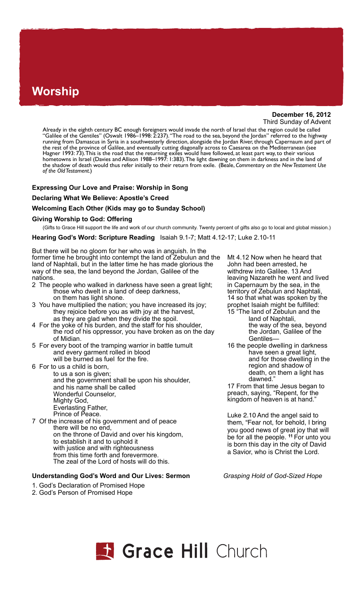# **Worship**

**December 16, 2012** Third Sunday of Advent

Already in the eighth century BC enough foreigners would invade the north of Israel that the region could be called "Galilee of the Gentiles" (Oswalt 1986–1998: 2:237). "The road to the sea, beyond the Jordan" referred to the highway running from Damascus in Syria in a southwesterly direction, alongside the Jordan River, through Capernaum and part of the rest of the province of Galilee, and eventually cutting diagonally across to Caesarea on the Mediterranean (see Hagner 1993: 73). This is the road that the returning exiles would have followed, at least part way, to their various hometowns in Israel (Davies and Allison 1988–1997: 1:383). The light dawning on them in darkness and in the land of the shadow of death would thus refer initially to their return from exile. (Beale, *Commentary on the New Testament Use of the Old Testament*.)

# **Expressing Our Love and Praise: Worship in Song**

#### **Declaring What We Believe: Apostle's Creed**

# **Welcoming Each Other (Kids may go to Sunday School)**

#### **Giving Worship to God: Offering**

(Gifts to Grace Hill support the life and work of our church community. Twenty percent of gifts also go to local and global mission.)

**Hearing God's Word: Scripture Reading** Isaiah 9.1-7; Matt 4.12-17; Luke 2.10-11

But there will be no gloom for her who was in anguish. In the former time he brought into contempt the land of Zebulun and the land of Naphtali, but in the latter time he has made glorious the way of the sea, the land beyond the Jordan, Galilee of the nations.

- 2 The people who walked in darkness have seen a great light; those who dwelt in a land of deep darkness, on them has light shone.
- 3 You have multiplied the nation; you have increased its joy; they rejoice before you as with joy at the harvest, as they are glad when they divide the spoil.
- 4 For the yoke of his burden, and the staff for his shoulder, the rod of his oppressor, you have broken as on the day of Midian.
- 5 For every boot of the tramping warrior in battle tumult and every garment rolled in blood will be burned as fuel for the fire.
- 6 For to us a child is born,

 to us a son is given; and the government shall be upon his shoulder, and his name shall be called Wonderful Counselor, Mighty God, Everlasting Father, Prince of Peace. 7 Of the increase of his government and of peace

 there will be no end, on the throne of David and over his kingdom, to establish it and to uphold it with justice and with righteousness from this time forth and forevermore. The zeal of the Lord of hosts will do this.

#### **Understanding God's Word and Our Lives: Sermon** *Grasping Hold of God-Sized Hope*

- 1. God's Declaration of Promised Hope
- 2. God's Person of Promised Hope

Mt 4.12 Now when he heard that John had been arrested, he withdrew into Galilee. 13 And leaving Nazareth he went and lived in Capernaum by the sea, in the territory of Zebulun and Naphtali, 14 so that what was spoken by the prophet Isaiah might be fulfilled:

- 15 "The land of Zebulun and the land of Naphtali, the way of the sea, beyond the Jordan, Galilee of the Gentiles—
- 16 the people dwelling in darkness have seen a great light, and for those dwelling in the region and shadow of death, on them a light has dawned."

17 From that time Jesus began to preach, saying, "Repent, for the kingdom of heaven is at hand."

Luke 2.10 And the angel said to them, "Fear not, for behold, I bring you good news of great joy that will be for all the people. **<sup>11</sup>**For unto you is born this day in the city of David a Savior, who is Christ the Lord.